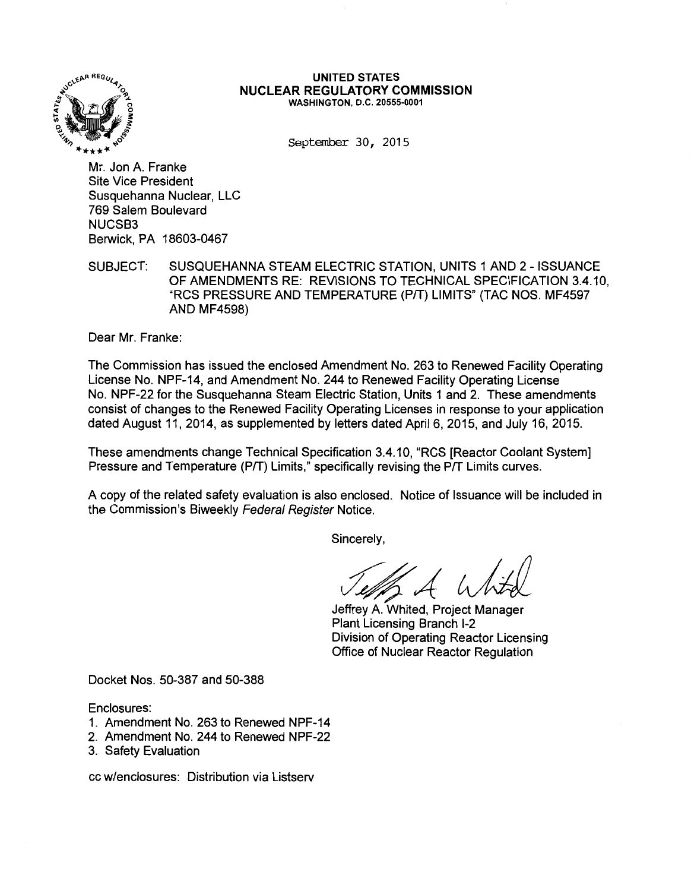

#### **UNITED STATES NUCLEAR REGULATORY COMMISSION**  WASHINGTON, D.C. 20555-0001

September 30, 2015

Mr. Jon A. Franke Site Vice President Susquehanna Nuclear, LLC 769 Salem Boulevard NUCSB3 Berwick, PA 18603-0467

SUBJECT: SUSQUEHANNA STEAM ELECTRIC STATION, UNITS 1AND2- ISSUANCE OF AMENDMENTS RE: REVISIONS TO TECHNICAL SPECIFICATION 3.4.10, "RCS PRESSURE AND TEMPERATURE (PIT) LIMITS" (TAC NOS. MF4597 AND MF4598)

Dear Mr. Franke:

The Commission has issued the enclosed Amendment No. 263 to Renewed Facility Operating License No. NPF-14, and Amendment No. 244 to Renewed Facility Operating License No. NPF-22 for the Susquehanna Steam Electric Station, Units 1 and 2. These amendments consist of changes to the Renewed Facility Operating Licenses in response to your application dated August 11, 2014, as supplemented by letters dated April 6, 2015, and July 16, 2015.

These amendments change Technical Specification 3.4.10, "RCS [Reactor Coolant System] Pressure and Temperature (P/T) Limits," specifically revising the P/T Limits curves.

A copy of the related safety evaluation is also enclosed. Notice of Issuance will be included in the Commission's Biweekly Federal Register Notice.

Sincerely,

Jeffrey A. Whited, Project Manager

Plant Licensing Branch 1-2 Division of Operating Reactor Licensing Office of Nuclear Reactor Regulation

Docket Nos. 50-387 and 50-388

Enclosures:

- 1. Amendment No. 263 to Renewed NPF-14
- 2. Amendment No. 244 to Renewed NPF-22
- 3. Safety Evaluation

cc w/enclosures: Distribution via Listserv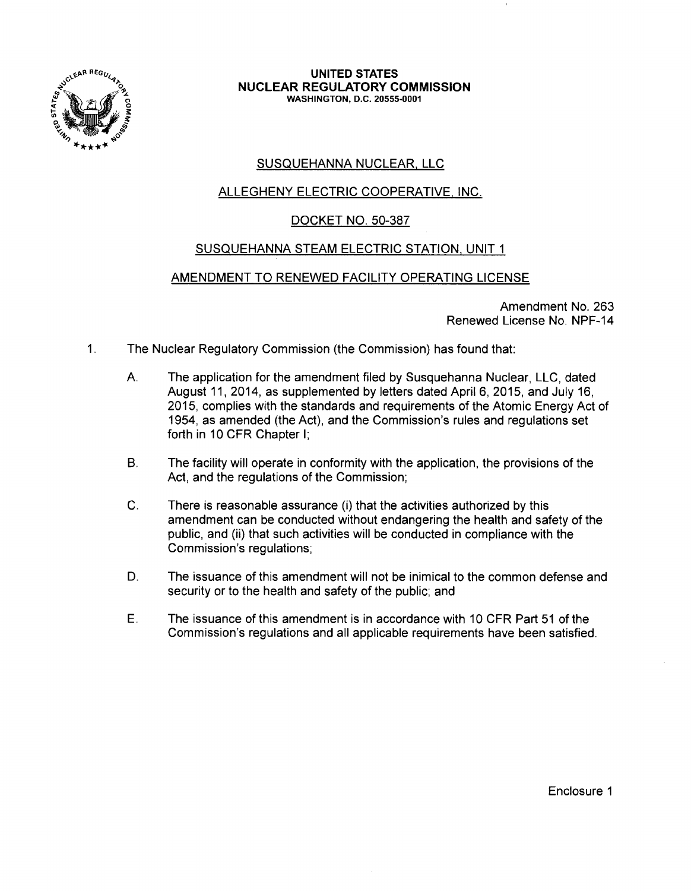

#### **UNITED STATES NUCLEAR REGULATORY COMMISSION**  WASHINGTON, D.C. 20555-0001

# SUSQUEHANNA NUCLEAR. LLC

# ALLEGHENY ELECTRIC COOPERATIVE. INC.

### DOCKET NO. 50-387

### SUSQUEHANNA STEAM ELECTRIC STATION. UNIT 1

### AMENDMENT TO RENEWED FACILITY OPERATING LICENSE

Amendment No. 263 Renewed License No. NPF-14

- 1. The Nuclear Regulatory Commission (the Commission) has found that:
	- A. The application for the amendment filed by Susquehanna Nuclear, LLC, dated August 11, 2014, as supplemented by letters dated April 6, 2015, and July 16, 2015, complies with the standards and requirements of the Atomic Energy Act of 1954, as amended (the Act), and the Commission's rules and regulations set forth in 10 CFR Chapter I;
	- B. The facility will operate in conformity with the application, the provisions of the Act, and the regulations of the Commission;
	- C. There is reasonable assurance (i) that the activities authorized by this amendment can be conducted without endangering the health and safety of the public, and (ii) that such activities will be conducted in compliance with the Commission's regulations;
	- D. The issuance of this amendment will not be inimical to the common defense and security or to the health and safety of the public; and
	- E. The issuance of this amendment is in accordance with 10 CFR Part 51 of the Commission's regulations and all applicable requirements have been satisfied.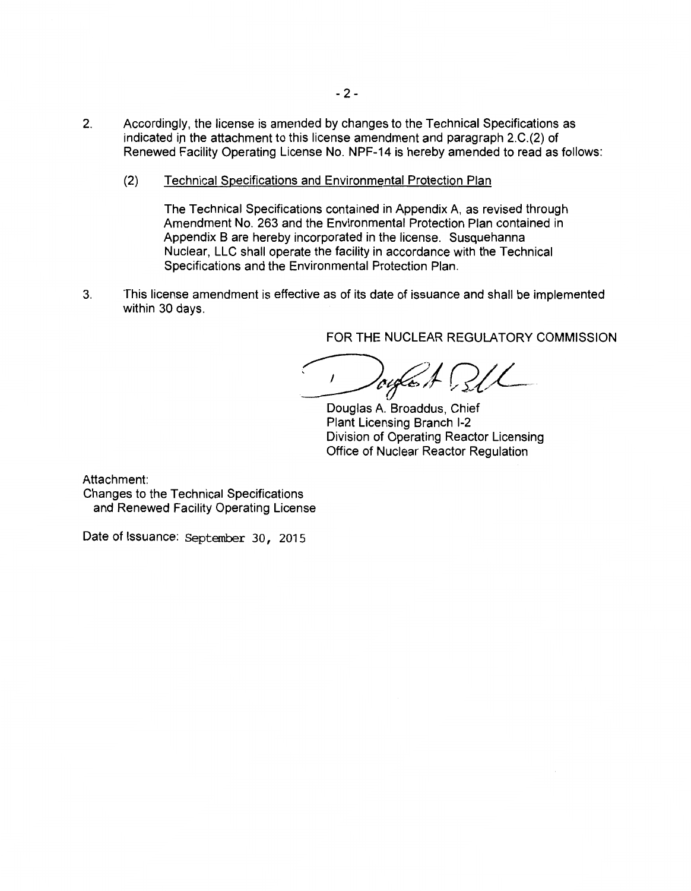- 2. Accordingly, the license is amended by changes to the Technical Specifications as indicated in the attachment to this license amendment and paragraph 2.C.(2) of Renewed Facility Operating License No. NPF-14 is hereby amended to read as follows:
	- (2) Technical Specifications and Environmental Protection Plan

The Technical Specifications contained in Appendix A, as revised through Amendment No. 263 and the Environmental Protection Plan contained in Appendix B are hereby incorporated in the license. Susquehanna Nuclear, LLC shall operate the facility in accordance with the Technical Specifications and the Environmental Protection Plan.

3. This license amendment is effective as of its date of issuance and shall be implemented within 30 days.

FOR THE NUCLEAR REGULATORY COMMISSION

 $log\epsilon$ ; A.

Douglas A. Broaddus, Chief Plant Licensing Branch 1-2 Division of Operating Reactor Licensing Office of Nuclear Reactor Regulation

Attachment:

Changes to the Technical Specifications and Renewed Facility Operating License

Date of Issuance: September 30, 2015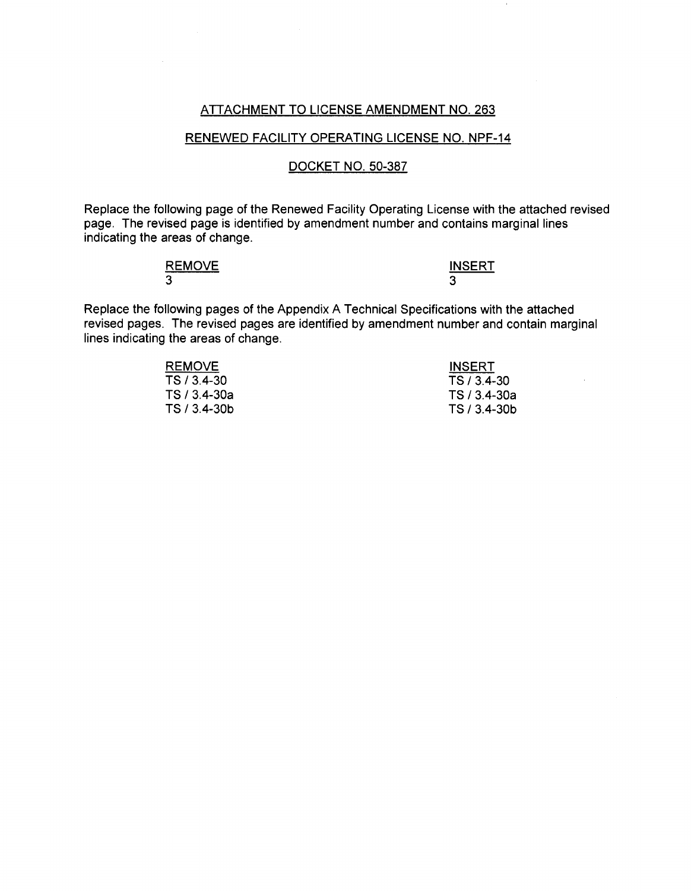### ATTACHMENT TO LICENSE AMENDMENT NO. 263

#### RENEWED FACILITY OPERATING LICENSE NO. NPF-14

### DOCKET NO. 50-387

Replace the following page of the Renewed Facility Operating License with the attached revised page. The revised page is identified by amendment number and contains marginal lines indicating the areas of change.

| <b>REMOVE</b> | <b>INSERT</b> |
|---------------|---------------|
| ⌒<br>w        |               |

Replace the following pages of the Appendix A Technical Specifications with the attached revised pages. The revised pages are identified by amendment number and contain marginal lines indicating the areas of change.

| <b>REMOVE</b> | <b>INSERT</b> |
|---------------|---------------|
| TS / 3.4-30   | TS / 3.4-30   |
| TS / 3.4-30a  | TS / 3.4-30a  |
| TS / 3.4-30b  | TS / 3.4-30b  |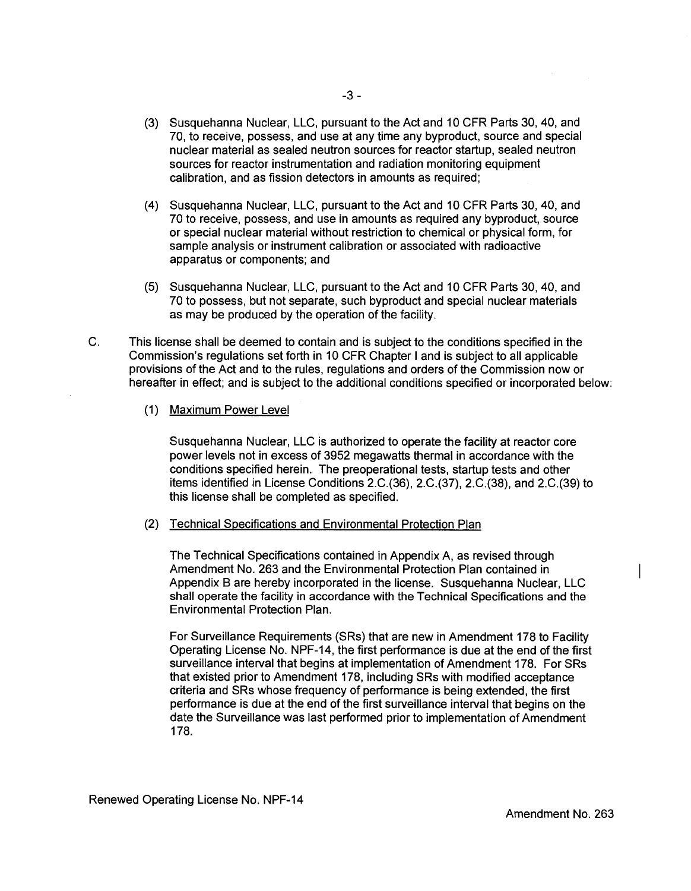- (3) Susquehanna Nuclear, LLC, pursuant to the Act and 1 O CFR Parts 30, 40, and 70, to receive, possess, and use at any time any byproduct, source and special nuclear material as sealed neutron sources for reactor startup, sealed neutron sources for reactor instrumentation and radiation monitoring equipment calibration, and as fission detectors in amounts as required;
- (4) Susquehanna Nuclear, LLC, pursuant to the Act and 10 CFR Parts 30, 40, and 70 to receive, possess, and use in amounts as required any byproduct, source or special nuclear material without restriction to chemical or physical form, for sample analysis or instrument calibration or associated with radioactive apparatus or components; and
- (5) Susquehanna Nuclear, LLC, pursuant to the Act and 10 CFR Parts 30, 40, and 70 to possess, but not separate, such byproduct and special nuclear materials as may be produced by the operation of the facility.
- C. This license shall be deemed to contain and is subject to the conditions specified in the Commission's regulations set forth in 10 CFR Chapter I and is subject to all applicable provisions of the Act and to the rules, regulations and orders of the Commission now or hereafter in effect; and is subject to the additional conditions specified or incorporated below:
	- (1) Maximum Power Level

Susquehanna Nuclear, LLC is authorized to operate the facility at reactor core power levels not in excess of 3952 megawatts thermal in accordance with the conditions specified herein. The preoperational tests, startup tests and other items identified in License Conditions 2.C.(36), 2.C.(37), 2.C.(38), and 2.C.(39) to this license shall be completed as specified.

(2) Technical Specifications and Environmental Protection Plan

The Technical Specifications contained in Appendix A, as revised through Amendment No. 263 and the Environmental Protection Plan contained in Appendix B are hereby incorporated in the license. Susquehanna Nuclear, LLC shall operate the facility in accordance with the Technical Specifications and the Environmental Protection Plan.

For Surveillance Requirements (SRs) that are new in Amendment 178 to Facility Operating License No. NPF-14, the first performance is due at the end of the first surveillance interval that begins at implementation of Amendment 178. For SRs that existed prior to Amendment 178, including SRs with modified acceptance criteria and SRs whose frequency of performance is being extended, the first performance is due at the end of the first surveillance interval that begins on the date the Surveillance was last performed prior to implementation of Amendment 178.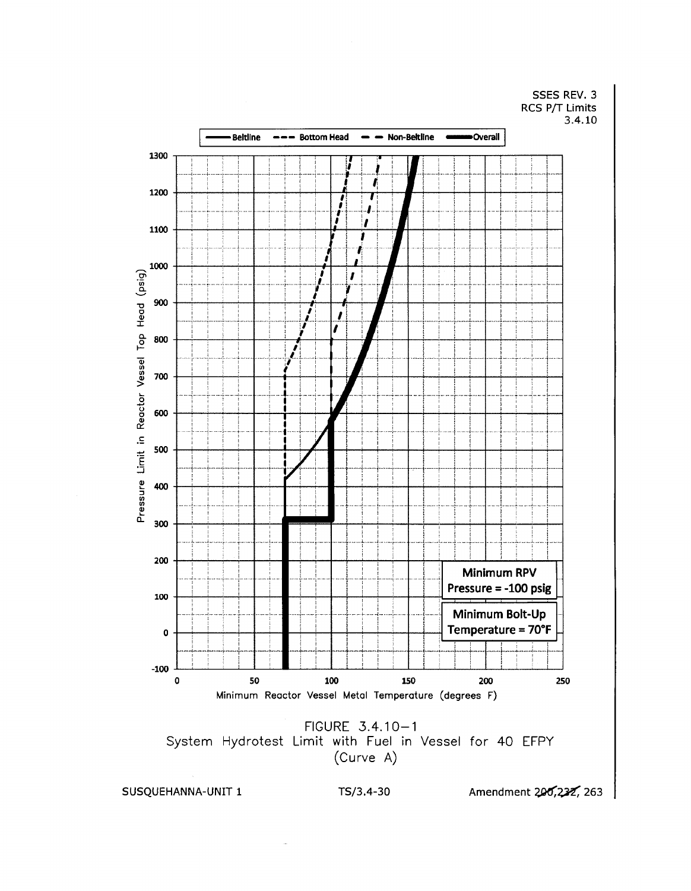SSES REV. 3 RCS P/T Limits  $3.4.10$ 



SUSQUEHANNA-UNIT 1

TS/3.4-30

Amendment 200,232, 263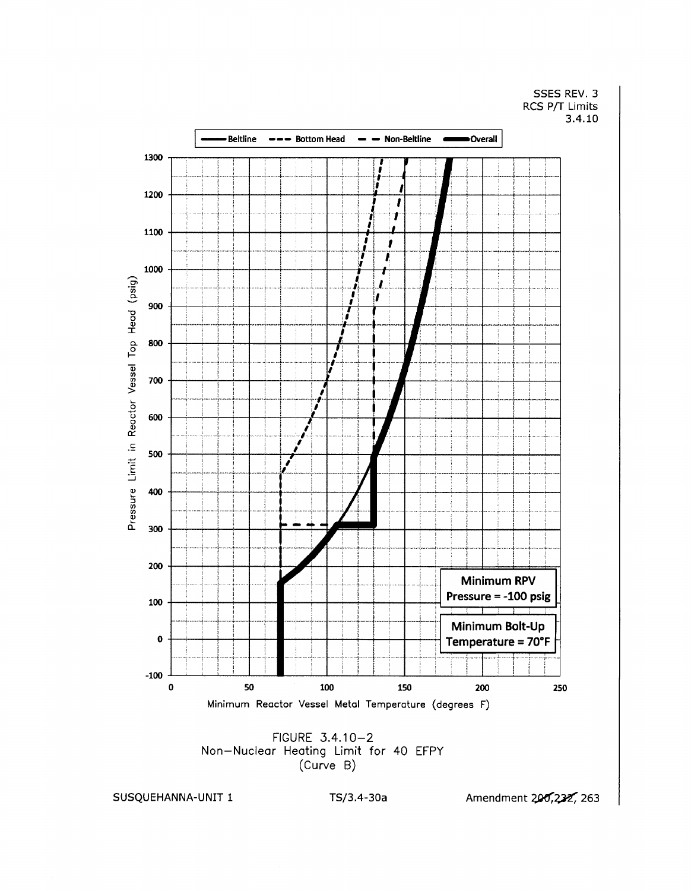SSES REV. 3 RCS P/T Limits  $3.4.10$ 



SUSQUEHANNA-UNIT 1

Amendment 200,232, 263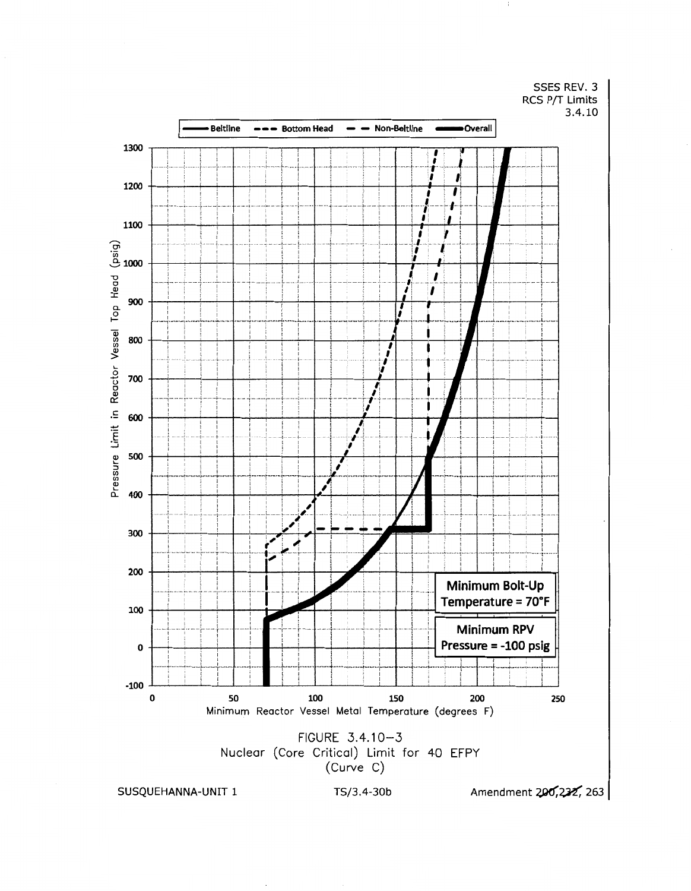SSES REV. 3 RCS P/T Limits  $3.4.10$ 



SUSQUEHANNA-UNIT 1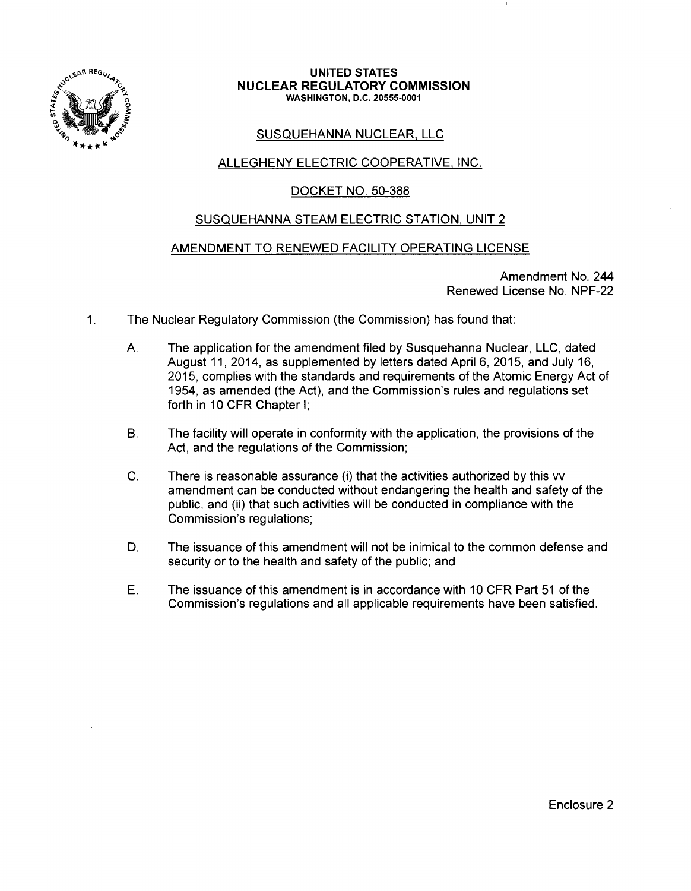

#### **UNITED STATES NUCLEAR REGULATORY COMMISSION**  WASHINGTON, D.C. 20555-0001

# SUSQUEHANNA NUCLEAR. LLC

# ALLEGHENY ELECTRIC COOPERATIVE, INC.

## DOCKET NO. 50-388

### SUSQUEHANNA STEAM ELECTRIC STATION, UNIT 2

### AMENDMENT TO RENEWED FACILITY OPERATING LICENSE

Amendment No. 244 Renewed License No. NPF-22

- 1. The Nuclear Regulatory Commission (the Commission) has found that:
	- A. The application for the amendment filed by Susquehanna Nuclear, LLC, dated August 11, 2014, as supplemented by letters dated April 6, 2015, and July 16, 2015, complies with the standards and requirements of the Atomic Energy Act of 1954, as amended (the Act), and the Commission's rules and regulations set forth in 10 CFR Chapter I;
	- B. The facility will operate in conformity with the application, the provisions of the Act, and the regulations of the Commission;
	- C. There is reasonable assurance (i) that the activities authorized by this vv amendment can be conducted without endangering the health and safety of the public, and (ii) that such activities will be conducted in compliance with the Commission's regulations;
	- D. The issuance of this amendment will not be inimical to the common defense and security or to the health and safety of the public; and
	- E. The issuance of this amendment is in accordance with 10 CFR Part 51 of the Commission's regulations and all applicable requirements have been satisfied.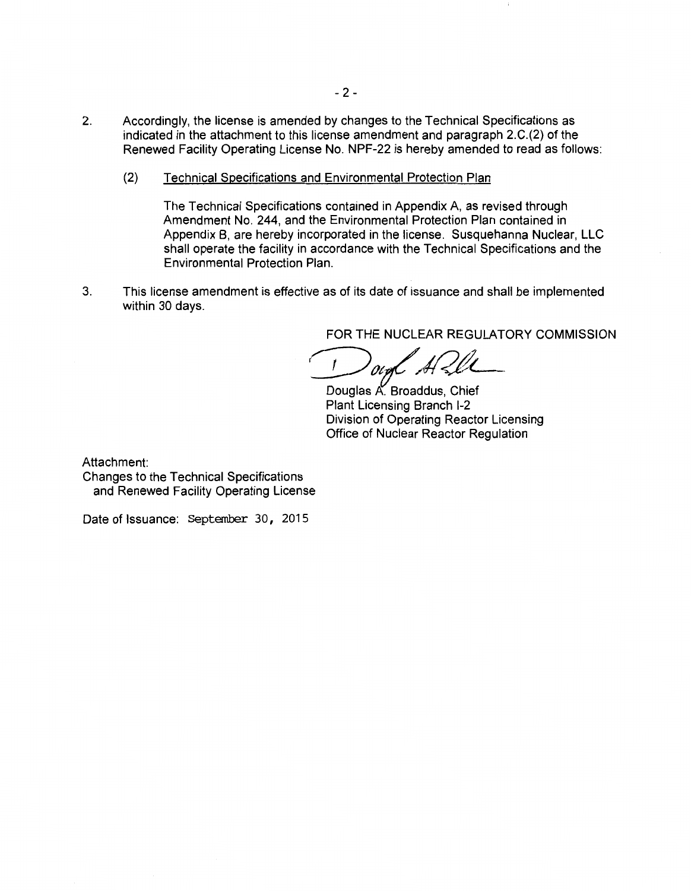- 2. Accordingly, the license is amended by changes to the Technical Specifications as indicated in the attachment to this license amendment and paragraph 2.C.(2) of the Renewed Facility Operating License No. NPF-22 is hereby amended to read as follows:
	- (2) Technical Specifications and Environmental Protection Plan

The Technical Specifications contained in Appendix A, as revised through Amendment No. 244, and the Environmental Protection Plan contained in Appendix B, are hereby incorporated in the license. Susquehanna Nuclear, LLC shall operate the facility in accordance with the Technical Specifications and the Environmental Protection Plan.

3. This license amendment is effective as of its date of issuance and shall be implemented within 30 days.

FOR THE NUCLEAR REGULATORY COMMISSION

 $\frac{\partial \mathcal{U}}{\partial \xi}$   $\frac{\partial \mathcal{U}}{\partial \xi}$  Douglas A. Broaddus, Chief

Plant Licensing Branch 1-2 Division of Operating Reactor Licensing Office of Nuclear Reactor Regulation

Attachment:

Changes to the Technical Specifications and Renewed Facility Operating License

Date of Issuance: September 30, 2015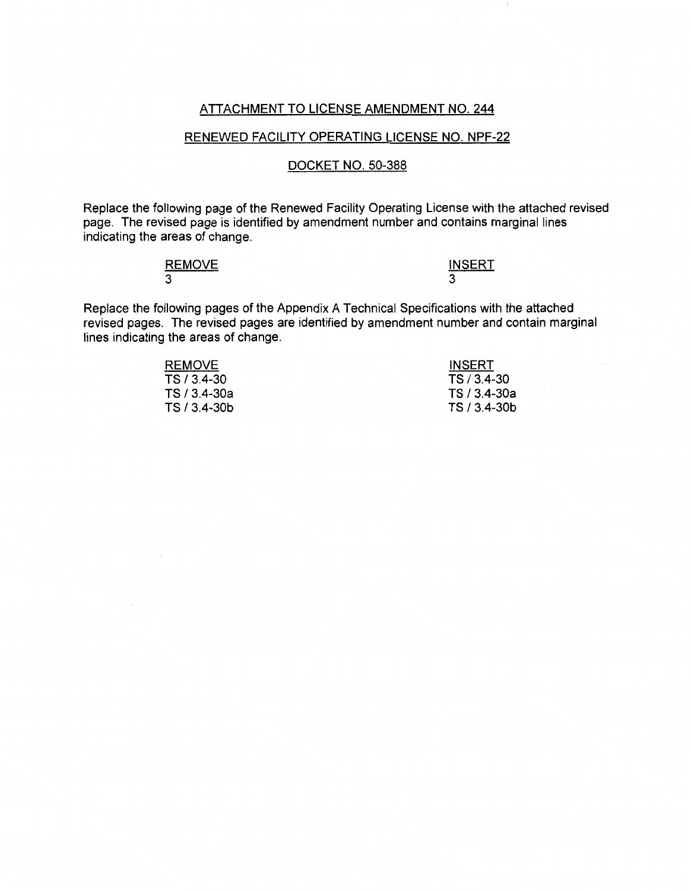# ATTACHMENT TO LICENSE AMENDMENT NO. 244

### RENEWED FACILITY OPERATING LICENSE NO. NPF-22

### DOCKET NO. 50-388

Replace the following page of the Renewed Facility Operating License with the attached revised page. The revised page is identified by amendment number and contains marginal lines indicating the areas of change.

| <b>REMOVE</b><br>_______ | <b>INSERT</b> |
|--------------------------|---------------|
| 3                        | ີ             |

Replace the following pages of the Appendix A Technical Specifications with the attached revised pages. The revised pages are identified by amendment number and contain marginal lines indicating the areas of change.

| <b>INSERT</b> |
|---------------|
| TS / 3.4-30   |
| TS / 3.4-30a  |
| TS / 3.4-30b  |
|               |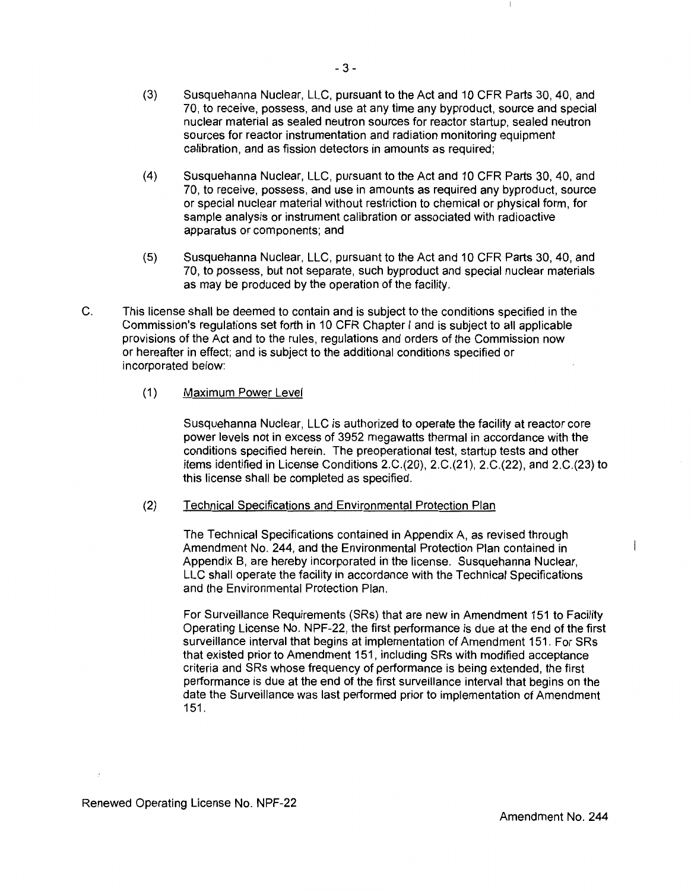- (3) Susquehanna Nuclear, LLC, pursuant to the Act and 10 CFR Parts 30, 40, and 70, to receive, possess, and use at any time any byproduct, source and special nuclear material as sealed neutron sources for reactor startup, sealed neutron sources for reactor instrumentation and radiation monitoring equipment calibration, and as fission detectors in amounts as required;
- (4) Susquehanna Nuclear, LLC, pursuant to the Act and 10 CFR Parts 30, 40, and 70, to receive, possess, and use in amounts as required any byproduct, source or special nuclear material without restriction to chemical or physical form, for sample analysis or instrument calibration or associated with radioactive apparatus or components; and
- (5) Susquehanna Nuclear, LLC, pursuant to the Act and 1 O CFR Parts 30, 40, and 70, to possess, but not separate, such byproduct and special nuclear materials as may be produced by the operation of the facility.
- C. This license shall be deemed to contain and is subject to the conditions specified in the Commission's regulations set forth in 10 CFR Chapter I and is subject to all applicable provisions of the Act and to the rules, regulations and orders of the Commission now or hereafter in effect; and is subject to the additional conditions specified or incorporated below:

### (1) Maximum Power Level

Susquehanna Nuclear, LLC is authorized to operate the facility at reactor core power levels not in excess of 3952 megawatts thermal in accordance with the conditions specified herein. The preoperational test, startup tests and other items identified in License Conditions 2.C.(20), 2.C.(21), 2.C.(22), and 2.C.(23) to this license shall be completed as specified.

### (2) Technical Specifications and Environmental Protection Plan

The Technical Specifications contained in Appendix A, as revised through Amendment No. 244, and the Environmental Protection Plan contained in Appendix B, are hereby incorporated in the license. Susquehanna Nuclear, LLC shall operate the facility in accordance with the Technical Specifications and the Environmental Protection Plan.

For Surveillance Requirements (SRs) that are new in Amendment 151 to Facility Operating License No. NPF-22, the first performance is due at the end of the first surveillance interval that begins at implementation of Amendment 151. For SRs that existed prior to Amendment 151, including SRs with modified acceptance criteria and SRs whose frequency of performance is being extended, the first performance is due at the end of the first surveillance interval that begins on the date the Surveillance was last performed prior to implementation of Amendment 151.

Renewed Operating License No. NPF-22

 $\mathbf{I}$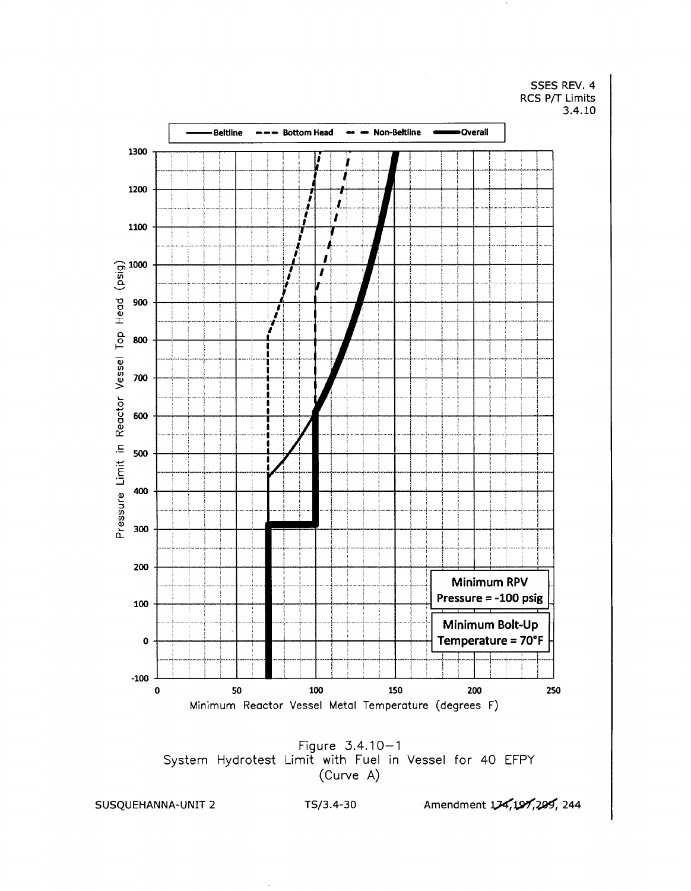SSES REV. 4 RCS P/T Limits 3.4.10



SUSQUEHANNA-UNIT 2

TS/3.4-30

Amendment 174,197,200, 244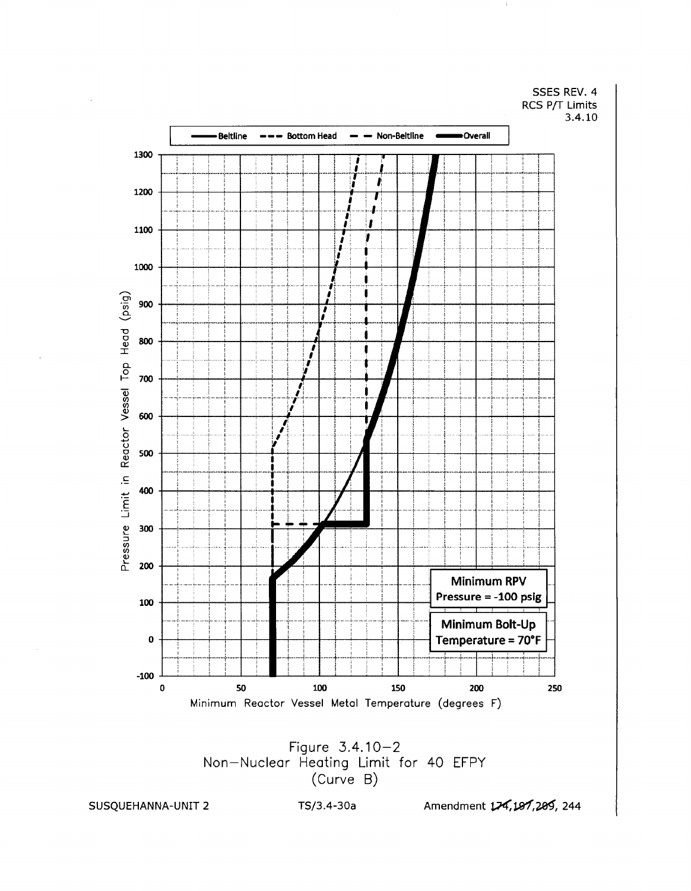SSES REV. 4 RCS P/T Limits 3.4.10





SUSQUEHANNA-UNIT 2

TS/3.4-30a

Amendment 174, 197, 209, 244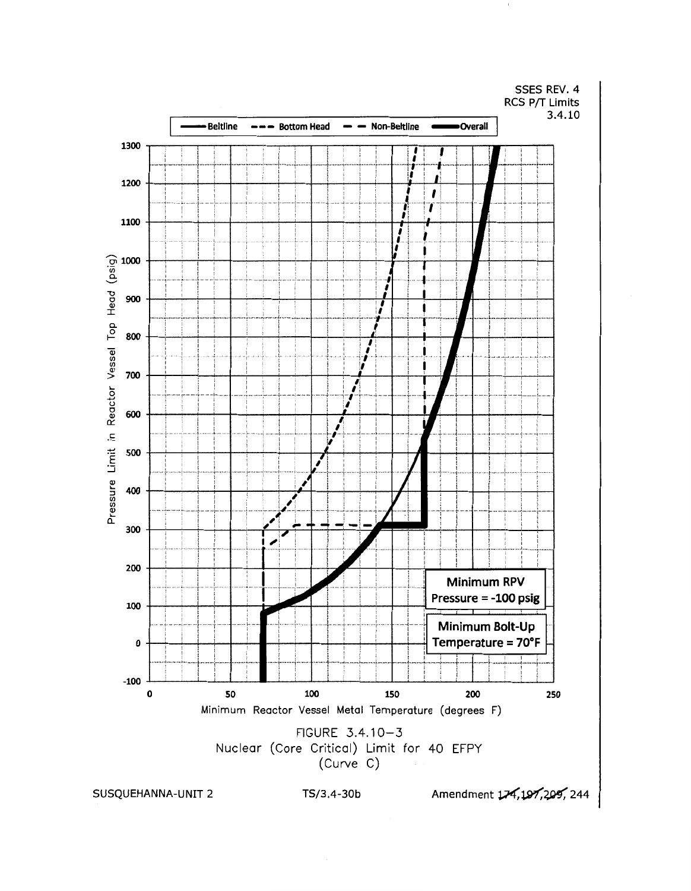

SUSQUEHANNA-UNIT 2

TS/3.4-30b

Amendment 174, 197, 209, 244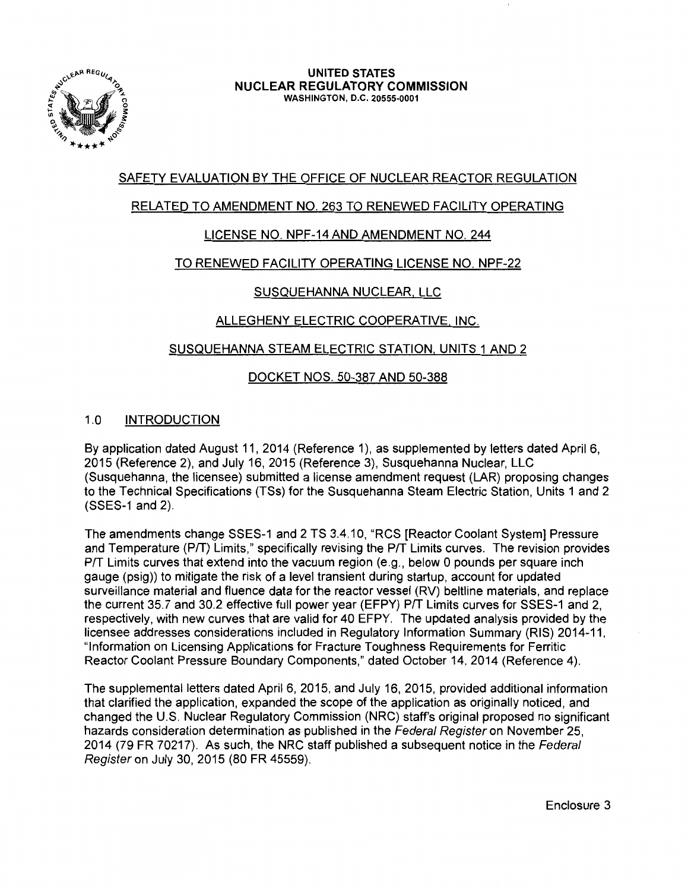

# SAFETY EVALUATION BY THE OFFICE OF NUCLEAR REACTOR REGULATION

# RELATED TO AMENDMENT NO. 263 TO RENEWED FACILITY OPERATING

# LICENSE NO. NPF-14 AND AMENDMENT NO. 244

### TO RENEWED FACILITY OPERATING LICENSE NO. NPF-22

# SUSQUEHANNA NUCLEAR, LLC

# ALLEGHENY ELECTRIC COOPERATIVE. INC.

### SUSQUEHANNA STEAM ELECTRIC STATION. UNITS 1 AND 2

# DOCKET NOS. 50-387 AND 50-388

# 1.0 INTRODUCTION

By application dated August 11, 2014 (Reference 1), as supplemented by letters dated April 6, 2015 (Reference 2), and July 16, 2015 (Reference 3), Susquehanna Nuclear, LLC (Susquehanna, the licensee) submitted a license amendment request (LAR) proposing changes to the Technical Specifications (TSs) for the Susquehanna Steam Electric Station, Units 1 and 2 (SSES-1 and 2).

The amendments change SSES-1 and 2 TS 3.4.10, "RCS [Reactor Coolant System] Pressure and Temperature (P/T) Limits," specifically revising the P/T Limits curves. The revision provides P/T Limits curves that extend into the vacuum region (e.g., below 0 pounds per square inch gauge (psig)) to mitigate the risk of a level transient during startup, account for updated surveillance material and fluence data for the reactor vessel (RV) beltline materials, and replace the current 35.7 and 30.2 effective full power year (EFPY) P/T Limits curves for SSES-1 and 2, respectively, with new curves that are valid for 40 EFPY. The updated analysis provided by the licensee addresses considerations included in Regulatory Information Summary (RIS) 2014-11, "Information on Licensing Applications for Fracture Toughness Requirements for Ferritic Reactor Coolant Pressure Boundary Components," dated October 14, 2014 (Reference 4).

The supplemental letters dated April 6, 2015, and July 16, 2015, provided additional information that clarified the application, expanded the scope of the application as originally noticed, and changed the U.S. Nuclear Regulatory Commission (NRC) staff's original proposed no significant hazards consideration determination as published in the Federal Register on November 25, 2014 (79 FR 70217). As such, the NRC staff published a subsequent notice in the Federal Register on July 30, 2015 (80 FR 45559).

Enclosure 3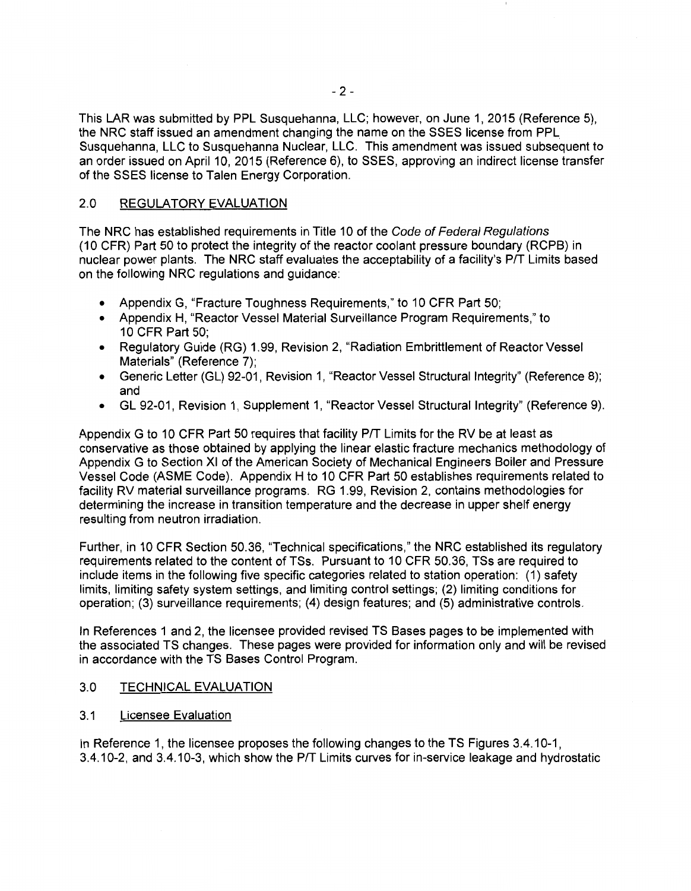This LAR was submitted by PPL Susquehanna, LLC; however, on June 1, 2015 (Reference 5), the NRC staff issued an amendment changing the name on the SSES license from PPL. Susquehanna, LLC to Susquehanna Nuclear, LLC. This amendment was issued subsequent to an order issued on April 10, 2015 (Reference 6), to SSES, approving an indirect license transfer of the SSES license to Talen Energy Corporation.

### 2.0 REGULATORY EVALUATION

The NRC has established requirements in Title 10 of the Code of Federal Regulations ( 10 CFR) Part 50 to protect the integrity of the reactor coolant pressure boundary (RCPB) in nuclear power plants. The NRC staff evaluates the acceptability of a facility's P/T Limits based on the following NRC regulations and guidance:

- Appendix G, "Fracture Toughness Requirements," to 10 CFR Part 50;
- Appendix H, "Reactor Vessel Material Surveillance Program Requirements," to 10 CFR Part 50;
- Regulatory Guide (RG) 1.99, Revision 2, "Radiation Embrittlement of Reactor Vessel Materials" (Reference 7);
- Generic Letter (GL) 92-01, Revision 1, "Reactor Vessel Structural Integrity" (Reference 8); and
- GL 92-01, Revision 1, Supplement 1, "Reactor Vessel Structural Integrity" (Reference 9).

Appendix G to 10 CFR Part 50 requires that facility PIT Limits for the RV be at least as conservative as those obtained by applying the linear elastic fracture mechanics methodology of Appendix G to Section XI of the American Society of Mechanical Engineers Boiler and Pressure Vessel Code (ASME Code). Appendix H to 10 CFR Part 50 establishes requirements related to facility RV material surveillance programs. RG 1.99, Revision 2, contains methodologies for determining the increase in transition temperature and the decrease in upper shelf energy resulting from neutron irradiation.

Further, in 10 CFR Section 50.36, "Technical specifications," the NRC established its regulatory requirements related to the content of TSs. Pursuant to 10 CFR 50.36, TSs are required to include items in the following five specific categories related to station operation: (1) safety limits, limiting safety system settings, and limiting control settings; (2) limiting conditions for operation; (3) surveillance requirements; (4) design features; and (5) administrative controls.

In References 1 and 2, the licensee provided revised TS Bases pages to be implemented with the associated TS changes. These pages were provided for information only and will be revised in accordance with the TS Bases Control Program.

### 3.0 TECHNICAL EVALUATION

3.1 Licensee Evaluation

In Reference 1, the licensee proposes the following changes to the TS Figures 3.4.10-1, 3.4.10-2, and 3.4.10-3, which show the PIT Limits curves for in-service leakage and hydrostatic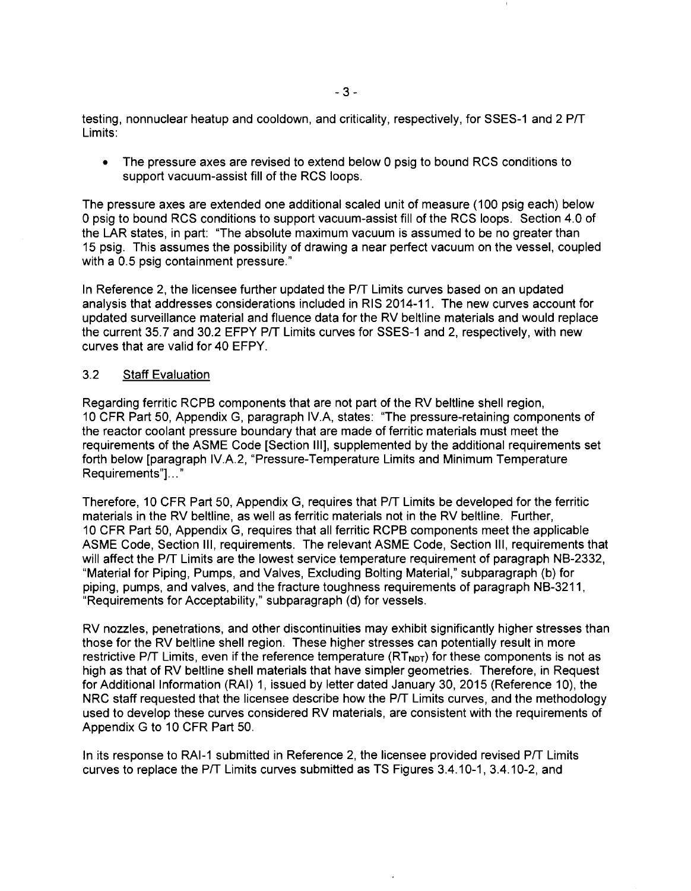testing, nonnuclear heatup and cooldown, and criticality, respectively, for SSES-1 and 2 P/T Limits:

• The pressure axes are revised to extend below 0 psig to bound RCS conditions to support vacuum-assist fill of the RCS loops.

The pressure axes are extended one additional scaled unit of measure (100 psig each) below 0 psig to bound RCS conditions to support vacuum-assist fill of the RCS loops. Section 4.0 of the LAR states, in part: "The absolute maximum vacuum is assumed to be no greater than 15 psig. This assumes the possibility of drawing a near perfect vacuum on the vessel, coupled with a 0.5 psig containment pressure."

In Reference 2, the licensee further updated the P/T Limits curves based on an updated analysis that addresses considerations included in RIS 2014-11. The new curves account for updated surveillance material and fluence data for the RV beltline materials and would replace the current 35.7 and 30.2 EFPY P/T Limits curves for SSES-1 and 2, respectively, with new curves that are valid for 40 EFPY.

### 3.2 Staff Evaluation

Regarding ferritic RCPB components that are not part of the RV beltline shell region, 10 CFR Part 50, Appendix G, paragraph IV.A, states: "The pressure-retaining components of the reactor coolant pressure boundary that are made of ferritic materials must meet the requirements of the ASME Code [Section Ill], supplemented by the additional requirements set forth below [paragraph IV.A.2, "Pressure-Temperature Limits and Minimum Temperature Requirements"]..."

Therefore, 10 CFR Part 50, Appendix G, requires that P/T Limits be developed for the ferritic materials in the RV beltline, as well as ferritic materials not in the RV beltline. Further, 10 CFR Part 50, Appendix G, requires that all ferritic RCPB components meet the applicable ASME Code, Section Ill, requirements. The relevant ASME Code, Section Ill, requirements that will affect the P/T Limits are the lowest service temperature requirement of paragraph NB-2332, "Material for Piping, Pumps, and Valves, Excluding Bolting Material," subparagraph (b) for piping, pumps, and valves, and the fracture toughness requirements of paragraph NB-3211, "Requirements for Acceptability," subparagraph (d) for vessels.

RV nozzles, penetrations, and other discontinuities may exhibit significantly higher stresses than those for the RV beltline shell region. These higher stresses can potentially result in more restrictive P/T Limits, even if the reference temperature  $(RT<sub>NOT</sub>)$  for these components is not as high as that of RV beltline shell materials that have simpler geometries. Therefore, in Request for Additional Information (RAI) 1, issued by letter dated January 30, 2015 (Reference 10), the NRC staff requested that the licensee describe how the P/T Limits curves, and the methodology used to develop these curves considered RV materials, are consistent with the requirements of Appendix G to 10 CFR Part 50.

In its response to RAI-1 submitted in Reference 2, the licensee provided revised P/T Limits curves to replace the PIT Limits curves submitted as TS Figures 3.4.10-1, 3.4.10-2, and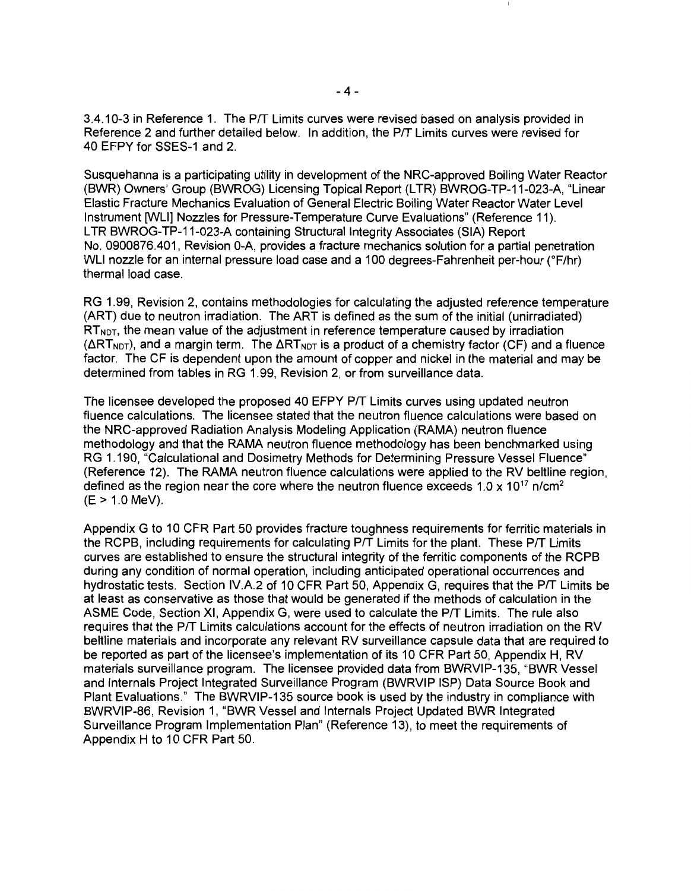3.4.10-3 in Reference 1. The Pff Limits curves were revised based on analysis provided in Reference 2 and further detailed below. In addition, the Pff Limits curves were revised for 40 EFPY for SSES-1 and 2.

Susquehanna is a participating utility in development of the NRG-approved Boiling Water Reactor (BWR) Owners' Group (BWROG) Licensing Topical Report (LTR) BWROG-TP-11-023-A, "Linear Elastic Fracture Mechanics Evaluation of General Electric Boiling Water Reactor Water Level Instrument [WU] Nozzles for Pressure-Temperature Curve Evaluations" (Reference 11). L TR BWROG-TP-11-023-A containing Structural Integrity Associates (SIA) Report No. 0900876.401, Revision 0-A, provides a fracture mechanics solution for a partial penetration WLI nozzle for an internal pressure load case and a 100 degrees-Fahrenheit per-hour (°F/hr) thermal load case.

RG 1.99, Revision 2, contains methodologies for calculating the adjusted reference temperature (ART) due to neutron irradiation. The ART is defined as the sum of the initial (unirradiated)  $RT<sub>NOT</sub>$ , the mean value of the adjustment in reference temperature caused by irradiation  $(\Delta RT_{NOT})$ , and a margin term. The  $\Delta RT_{NOT}$  is a product of a chemistry factor (CF) and a fluence factor. The CF is dependent upon the amount of copper and nickel in the material and may be determined from tables in RG 1.99, Revision 2, or from surveillance data.

The licensee developed the proposed 40 EFPY Pff Limits curves using updated neutron fluence calculations. The licensee stated that the neutron fluence calculations were based on the NRG-approved Radiation Analysis Modeling Application (RAMA) neutron fluence methodology and that the RAMA neutron fluence methodology has been benchmarked using RG 1.190, "Calculational and Dosimetry Methods for Determining Pressure Vessel Fluence" (Reference 12). The RAMA neutron fluence calculations were applied to the RV beltline region, defined as the region near the core where the neutron fluence exceeds 1.0 x 10<sup>17</sup> n/cm<sup>2</sup> (E > 1.0 MeV).

Appendix G to 10 CFR Part 50 provides fracture toughness requirements for ferritic materials in the RCPB, including requirements for calculating P/T Limits for the plant. These P/T Limits curves are established to ensure the structural integrity of the ferritic components of the RCPB during any condition of normal operation, including anticipated operational occurrences and hydrostatic tests. Section IV.A.2 of 10 CFR Part 50, Appendix G, requires that the Pff Limits be at least as conservative as those that would be generated if the methods of calculation in the ASME Code, Section XI, Appendix G, were used to calculate the Pff Limits. The rule also requires that the Pff Limits calculations account for the effects of neutron irradiation on the RV beltline materials and incorporate any relevant RV surveillance capsule data that are required to be reported as part of the licensee's implementation of its 10 CFR Part 50, Appendix H, RV materials surveillance program. The licensee provided data from BWRVIP-135, "BWR Vessel and Internals Project Integrated Surveillance Program (BWRVIP ISP) Data Source Book and Plant Evaluations." The BWRVIP-135 source book is used by the industry in compliance with BWRVIP-86, Revision 1, "BWR Vessel and Internals Project Updated BWR Integrated Surveillance Program Implementation Plan" (Reference 13), to meet the requirements of Appendix H to 10 CFR Part 50.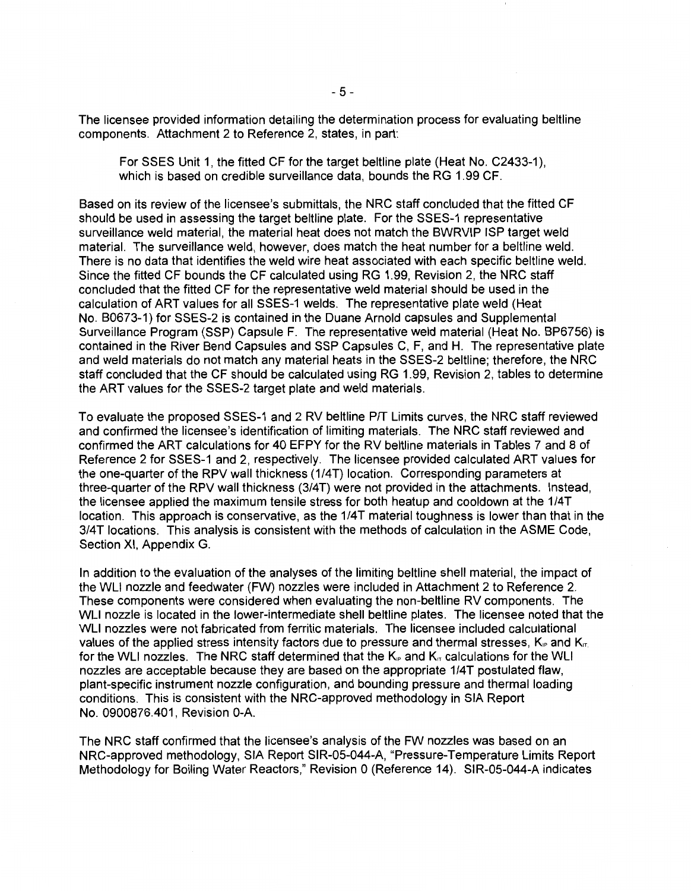The licensee provided information detailing the determination process for evaluating beltline components. Attachment 2 to Reference 2, states, in part:

For SSES Unit 1, the fitted CF for the target beltline plate (Heat No. C2433-1), which is based on credible surveillance data, bounds the RG 1.99 CF.

Based on its review of the licensee's submittals, the NRC staff concluded that the fitted CF should be used in assessing the target beltline plate. For the SSES-1 representative surveillance weld material, the material heat does not match the BWRVIP ISP target weld material. The surveillance weld, however, does match the heat number for a beltline weld. There is no data that identifies the weld wire heat associated with each specific beltline weld. Since the fitted CF bounds the CF calculated using RG 1.99, Revision 2, the NRC staff concluded that the fitted CF for the representative weld material should be used in the calculation of ART values for all SSES-1 welds. The representative plate weld (Heat No. B0673-1) for SSES-2 is contained in the Duane Arnold capsules and Supplemental Surveillance Program (SSP) Capsule F. The representative weld material (Heat No. BP6756) is contained in the River Bend Capsules and SSP Capsules C, F, and H. The representative plate and weld materials do not match any material heats in the SSES-2 beltline; therefore, the NRC staff concluded that the CF should be calculated using RG 1.99, Revision 2, tables to determine the ART values for the SSES-2 target plate and weld materials.

To evaluate the proposed SSES-1 and 2 RV beltline PIT Limits curves, the NRC staff reviewed and confirmed the licensee's identification of limiting materials. The NRC staff reviewed and confirmed the ART calculations for 40 EFPY for the RV beltline materials in Tables 7 and 8 of Reference 2 for SSES-1 and 2, respectively. The licensee provided calculated ART values for the one-quarter of the RPV wall thickness (1/4T) location. Corresponding parameters at three-quarter of the RPV wall thickness (3/4T) were not provided in the attachments. Instead, the licensee applied the maximum tensile stress for both heatup and cooldown at the 1/4T location. This approach is conservative, as the 1/4T material toughness is lower than that in the 3/4T locations. This analysis is consistent with the methods of calculation in the ASME Code, Section XI, Appendix G.

In addition to the evaluation of the analyses of the limiting beltline shell material, the impact of the WLI nozzle and feedwater (FW) nozzles were included in Attachment 2 to Reference 2. These components were considered when evaluating the non-beltline RV components. The WLI nozzle is located in the lower-intermediate shell beltline plates. The licensee noted that the WLI nozzles were not fabricated from ferritic materials. The licensee included calculational values of the applied stress intensity factors due to pressure and thermal stresses,  $K_{\nu}$  and  $K_{\nu}$ . for the WLI nozzles. The NRC staff determined that the  $K_{\rm P}$  and  $K_{\rm T}$  calculations for the WLI nozzles are acceptable because they are based on the appropriate 1/4T postulated flaw, plant-specific instrument nozzle configuration, and bounding pressure and thermal loading conditions. This is consistent with the NRG-approved methodology in SIA Report No. 0900876.401, Revision 0-A.

The NRC staff confirmed that the licensee's analysis of the FW nozzles was based on an NRG-approved methodology, SIA Report SIR-05-044-A, "Pressure-Temperature Limits Report Methodology for Boiling Water Reactors," Revision 0 (Reference 14). SIR-05-044-A indicates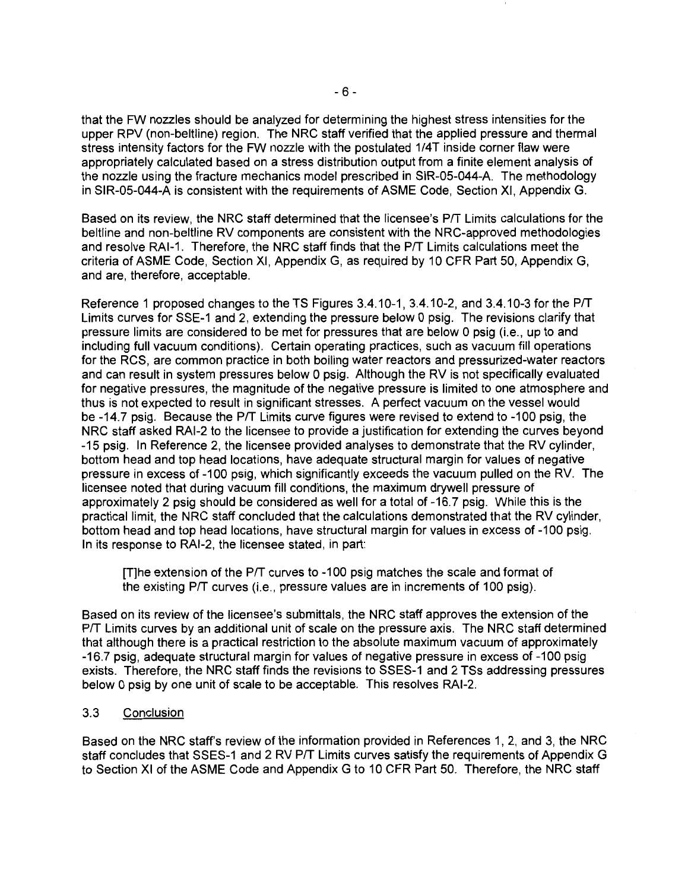that the FW nozzles should be analyzed for determining the highest stress intensities for the upper RPV (non-beltline) region. The NRC staff verified that the applied pressure and thermal stress intensity factors for the FW nozzle with the postulated 1/4T inside corner flaw were appropriately calculated based on a stress distribution output from a finite element analysis of the nozzle using the fracture mechanics model prescribed in SIR-05-044-A. The methodology in SIR-05-044-A is consistent with the requirements of ASME Code, Section XI, Appendix G.

Based on its review, the NRC staff determined that the licensee's P/T Limits calculations for the beltline and non-beltline RV components are consistent with the NRG-approved methodologies and resolve RAI-1. Therefore, the NRC staff finds that the P/T Limits calculations meet the criteria of ASME Code, Section XI, Appendix G, as required by 10 CFR Part 50, Appendix G, and are, therefore, acceptable.

Reference 1 proposed changes to the TS Figures 3.4.10-1, 3.4.10-2, and 3.4.10-3 for the PIT Limits curves for SSE-1 and 2, extending the pressure below 0 psig. The revisions clarify that pressure limits are considered to be met for pressures that are below O psig (i.e., up to and including full vacuum conditions). Certain operating practices, such as vacuum fill operations for the RCS, are common practice in both boiling water reactors and pressurized-water reactors and can result in system pressures below 0 psig. Although the RV is not specifically evaluated for negative pressures, the magnitude of the negative pressure is limited to one atmosphere and thus is not expected to result in significant stresses. A perfect vacuum on the vessel would be -14.7 psig. Because the P/T Limits curve figures were revised to extend to -100 psig, the NRC staff asked RAl-2 to the licensee to provide a justification for extending the curves beyond -15 psig. In Reference 2, the licensee provided analyses to demonstrate that the RV cylinder, bottom head and top head locations, have adequate structural margin for values of negative pressure in excess of-100 psig, which significantly exceeds the vacuum pulled on the RV. The licensee noted that during vacuum fill conditions, the maximum drywell pressure of approximately 2 psig should be considered as well for a total of -16.7 psig. While this is the practical limit, the NRC staff concluded that the calculations demonstrated that the RV cylinder, bottom head and top head locations, have structural margin for values in excess of -100 psig. In its response to RAl-2, the licensee stated, in part:

[T]he extension of the PIT curves to -100 psig matches the scale and format of the existing P/T curves (i.e., pressure values are in increments of 100 psig).

Based on its review of the licensee's submittals, the NRC staff approves the extension of the P/T Limits curves by an additional unit of scale on the pressure axis. The NRC staff determined that although there is a practical restriction to the absolute maximum vacuum of approximately -16.7 psig, adequate structural margin for values of negative pressure in excess of -100 psig exists. Therefore, the NRC staff finds the revisions to SSES-1 and 2 TSs addressing pressures below 0 psig by one unit of scale to be acceptable. This resolves RAl-2.

### 3.3 Conclusion

Based on the NRC staff's review of the information provided in References 1, 2, and 3, the NRC staff concludes that SSES-1 and 2 RV P/T Limits curves satisfy the requirements of Appendix G to Section XI of the ASME Code and Appendix G to 10 CFR Part 50. Therefore, the NRC staff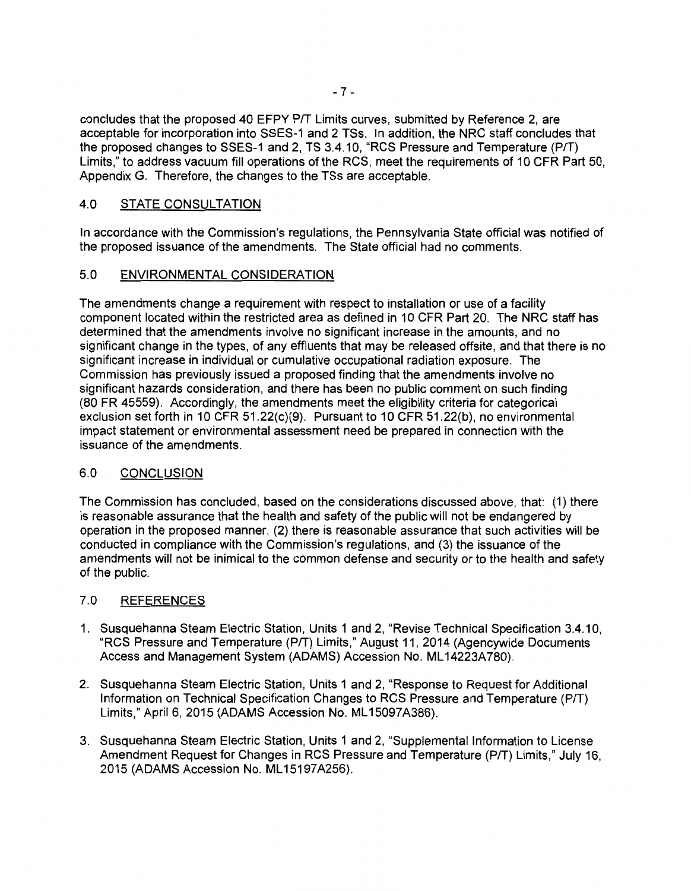concludes that the proposed 40 EFPY P/T Limits curves, submitted by Reference 2, are acceptable for incorporation into SSES-1 and 2 TSs. In addition, the NRC staff concludes that the proposed changes to SSES-1 and 2, TS 3.4.10, "RCS Pressure and Temperature (P/T) Limits," to address vacuum fill operations of the RCS, meet the requirements of 10 CFR Part 50, Appendix G. Therefore, the changes to the TSs are acceptable.

### 4.0 STATE CONSULTATION

In accordance with the Commission's regulations, the Pennsylvania State official was notified of the proposed issuance of the amendments. The State official had no comments.

### 5.0 ENVIRONMENTAL CONSIDERATION

The amendments change a requirement with respect to installation or use of a facility component located within the restricted area as defined in 10 CFR Part 20. The NRC staff has determined that the amendments involve no significant increase in the amounts, and no significant change in the types, of any effluents that may be released offsite, and that there is no significant increase in individual or cumulative occupational radiation exposure. The Commission has previously issued a proposed finding that the amendments involve no significant hazards consideration, and there has been no public comment on such finding (80 FR 45559). Accordingly, the amendments meet the eligibility criteria for categorical exclusion set forth in 10 CFR 51.22(c)(9). Pursuant to 10 CFR 51.22(b), no environmental impact statement or environmental assessment need be prepared in connection with the issuance of the amendments.

### 6.0 CONCLUSION

The Commission has concluded, based on the considerations discussed above, that: (1) there is reasonable assurance that the health and safety of the public will not be endangered by operation in the proposed manner, (2) there is reasonable assurance that such activities will be conducted in compliance with the Commission's regulations, and (3) the issuance of the amendments will not be inimical to the common defense and security or to the health and safety of the public.

### 7 .0 REFERENCES

- 1. Susquehanna Steam Electric Station, Units 1 and 2, "Revise Technical Specification 3.4.10, "RCS Pressure and Temperature (PIT) Limits," August 11, 2014 (Agencywide Documents Access and Management System (ADAMS) Accession No. ML14223A780).
- 2. Susquehanna Steam Electric Station, Units 1 and 2, "Response to Request for Additional Information on Technical Specification Changes to RCS Pressure and Temperature (P/T) Limits," April 6, 2015 (ADAMS Accession No. ML15097A386).
- 3. Susquehanna Steam Electric Station, Units 1 and 2, "Supplemental Information to License Amendment Request for Changes in RCS Pressure and Temperature (PIT) Limits," July 16, 2015 (ADAMS Accession No. ML 15197A256).